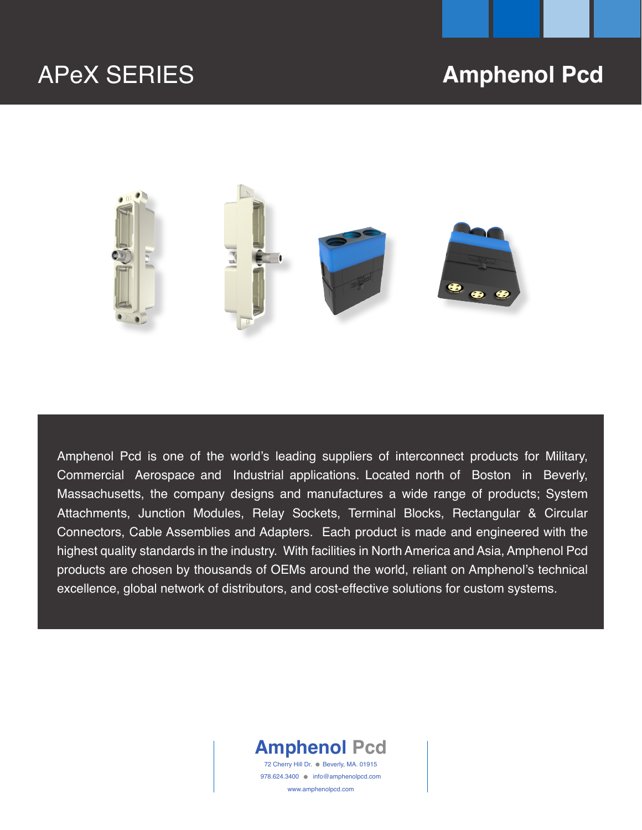# APeX SERIES **Amphenol Pcd**



Amphenol Pcd is one of the world's leading suppliers of interconnect products for Military, Commercial Aerospace and Industrial applications. Located north of Boston in Beverly, Massachusetts, the company designs and manufactures a wide range of products; System Attachments, Junction Modules, Relay Sockets, Terminal Blocks, Rectangular & Circular Connectors, Cable Assemblies and Adapters. Each product is made and engineered with the highest quality standards in the industry. With facilities in North America and Asia, Amphenol Pcd products are chosen by thousands of OEMs around the world, reliant on Amphenol's technical excellence, global network of distributors, and cost-effective solutions for custom systems.



72 Cherry Hill Dr. . Beverly, MA. 01915 978.624.3400 ● info@amphenolpcd.com www.amphenolpcd.com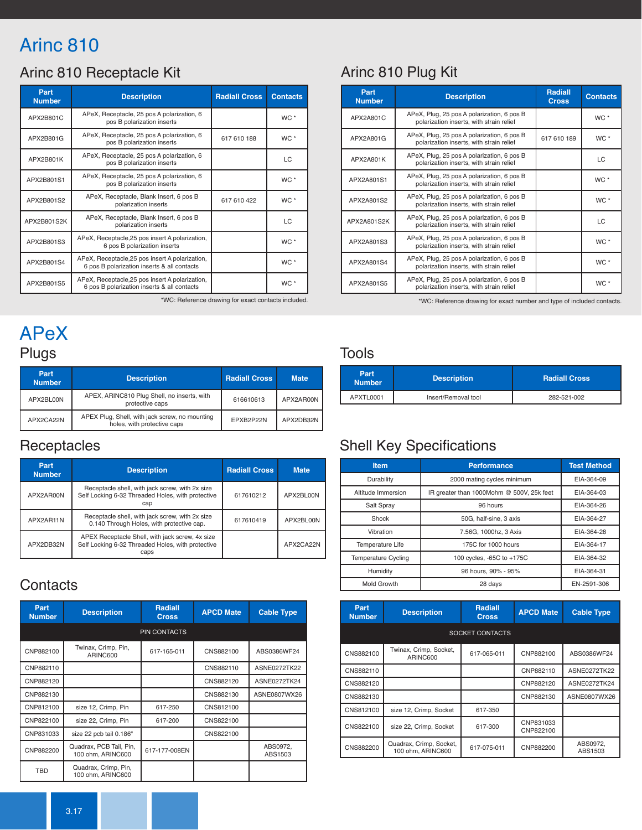# Arinc 810

## Arinc 810 Receptacle Kit

| Part<br><b>Number</b> | <b>Description</b>                                                                             | <b>Radiall Cross</b> | <b>Contacts</b> |
|-----------------------|------------------------------------------------------------------------------------------------|----------------------|-----------------|
| APX2B801C             | APeX, Receptacle, 25 pos A polarization, 6<br>pos B polarization inserts                       |                      | WC <sup>*</sup> |
| APX2B801G             | APeX, Receptacle, 25 pos A polarization, 6<br>pos B polarization inserts                       | 617 610 188          | $WC^*$          |
| APX2B801K             | APeX, Receptacle, 25 pos A polarization, 6<br>pos B polarization inserts                       |                      | LC              |
| APX2B801S1            | APeX, Receptacle, 25 pos A polarization, 6<br>pos B polarization inserts                       |                      | WC <sup>*</sup> |
| APX2B801S2            | APeX, Receptacle, Blank Insert, 6 pos B<br>polarization inserts                                | 617 610 422          | $WC *$          |
| APX2B801S2K           | APeX, Receptacle, Blank Insert, 6 pos B<br>polarization inserts                                |                      | LC              |
| APX2B801S3            | APeX, Receptacle, 25 pos insert A polarization,<br>6 pos B polarization inserts                |                      | WC *            |
| APX2B801S4            | APeX, Receptacle, 25 pos insert A polarization,<br>6 pos B polarization inserts & all contacts |                      | $WC^*$          |
| APX2B801S5            | APeX, Receptacle, 25 pos insert A polarization,<br>6 pos B polarization inserts & all contacts |                      | WC <sup>*</sup> |

### Arinc 810 Plug Kit

| Part<br><b>Number</b> | <b>Description</b>                                                                     | <b>Radiall</b><br><b>Cross</b> | <b>Contacts</b> |
|-----------------------|----------------------------------------------------------------------------------------|--------------------------------|-----------------|
| APX2A801C             | APeX, Plug, 25 pos A polarization, 6 pos B<br>polarization inserts, with strain relief |                                | $WC^*$          |
| APX2A801G             | APeX, Plug, 25 pos A polarization, 6 pos B<br>polarization inserts, with strain relief | 617 610 189                    | WC *            |
| APX2A801K             | APeX, Plug, 25 pos A polarization, 6 pos B<br>polarization inserts, with strain relief |                                | LC              |
| APX2A801S1            | APeX, Plug, 25 pos A polarization, 6 pos B<br>polarization inserts, with strain relief |                                | $WC^*$          |
| APX2A801S2            | APeX, Plug, 25 pos A polarization, 6 pos B<br>polarization inserts, with strain relief |                                | WC *            |
| APX2A801S2K           | APeX, Plug, 25 pos A polarization, 6 pos B<br>polarization inserts, with strain relief |                                | LC              |
| APX2A801S3            | APeX, Plug, 25 pos A polarization, 6 pos B<br>polarization inserts, with strain relief |                                | WC *            |
| APX2A801S4            | APeX, Plug, 25 pos A polarization, 6 pos B<br>polarization inserts, with strain relief |                                | WC *            |
| APX2A801S5            | APeX, Plug, 25 pos A polarization, 6 pos B<br>polarization inserts, with strain relief |                                | WC *            |

\*WC: Reference drawing for exact contacts included. \*WC: Reference drawing for exact number and type of included contacts.

# APeX Plugs

| Part<br><b>Number</b> | <b>Description</b>                                                            | <b>Radiall Cross</b> | <b>Mate</b> |
|-----------------------|-------------------------------------------------------------------------------|----------------------|-------------|
| APX2BL00N             | APEX, ARINC810 Plug Shell, no inserts, with<br>protective caps                | 616610613            | APX2AR00N   |
| APX2CA22N             | APEX Plug, Shell, with jack screw, no mounting<br>holes, with protective caps | EPXB2P22N            | APX2DB32N   |

### **Receptacles**

| Part<br><b>Number</b> | <b>Description</b>                                                                                           | <b>Radiall Cross</b> | <b>Mate</b> |
|-----------------------|--------------------------------------------------------------------------------------------------------------|----------------------|-------------|
| APX2AR00N             | Receptacle shell, with jack screw, with 2x size<br>Self Locking 6-32 Threaded Holes, with protective<br>cap  | 617610212            | APX2BL00N   |
| APX2AR11N             | Receptacle shell, with jack screw, with 2x size<br>0.140 Through Holes, with protective cap.                 | 617610419            | APX2BL00N   |
| APX2DB32N             | APEX Receptacle Shell, with jack screw, 4x size<br>Self Locking 6-32 Threaded Holes, with protective<br>caps |                      | APX2CA22N   |

#### **Contacts**

| Part<br><b>Number</b> | <b>Description</b>                           | <b>Radiall</b><br><b>Cross</b> | <b>APCD Mate</b> | <b>Cable Type</b>   |
|-----------------------|----------------------------------------------|--------------------------------|------------------|---------------------|
|                       |                                              | <b>PIN CONTACTS</b>            |                  |                     |
| CNP882100             | Twinax, Crimp, Pin,<br>ARINC600              | 617-165-011                    | CNS882100        | ABS0386WF24         |
| CNP882110             |                                              |                                | CNS882110        | ASNE0272TK22        |
| CNP882120             |                                              |                                | CNS882120        | ASNE0272TK24        |
| CNP882130             |                                              |                                | CNS882130        | ASNE0807WX26        |
| CNP812100             | size 12, Crimp, Pin                          | 617-250                        | CNS812100        |                     |
| CNP822100             | size 22, Crimp, Pin                          | 617-200                        | CNS822100        |                     |
| CNP831033             | size 22 pcb tail 0.186"                      |                                | CNS822100        |                     |
| CNP882200             | Quadrax, PCB Tail, Pin,<br>100 ohm, ARINC600 | 617-177-008EN                  |                  | ABS0972,<br>ABS1503 |
| <b>TBD</b>            | Quadrax, Crimp, Pin,<br>100 ohm, ARINC600    |                                |                  |                     |

#### Tools

| Part<br><b>Number</b> | <b>Description</b>  | <b>Radiall Cross</b> |  |
|-----------------------|---------------------|----------------------|--|
| APXTL0001             | Insert/Removal tool | 282-521-002          |  |

## Shell Key Specifications

| <b>Item</b>                | <b>Performance</b>                        | <b>Test Method</b> |
|----------------------------|-------------------------------------------|--------------------|
| Durability                 | 2000 mating cycles minimum                | EIA-364-09         |
| Altitude Immersion         | IR greater than 1000Mohm @ 500V, 25k feet | EIA-364-03         |
| Salt Spray                 | 96 hours                                  | EIA-364-26         |
| Shock                      | 50G, half-sine, 3 axis                    | EIA-364-27         |
| Vibration                  | 7.56G, 1000hz, 3 Axis                     | EIA-364-28         |
| Temperature Life           | 175C for 1000 hours                       | EIA-364-17         |
| <b>Temperature Cycling</b> | 100 cycles, -65C to +175C                 | EIA-364-32         |
| Humidity                   | 96 hours, 90% - 95%                       | EIA-364-31         |
| Mold Growth                | 28 days                                   | EN-2591-306        |

| Part<br><b>Number</b> | <b>Description</b>                           | <b>Radiall</b><br><b>Cross</b> | <b>APCD Mate</b>       | <b>Cable Type</b>   |
|-----------------------|----------------------------------------------|--------------------------------|------------------------|---------------------|
|                       |                                              | SOCKET CONTACTS                |                        |                     |
| CNS882100             | Twinax, Crimp, Socket,<br>ARINC600           | 617-065-011                    | CNP882100              | ABS0386WF24         |
| CNS882110             |                                              |                                | CNP882110              | ASNE0272TK22        |
| CNS882120             |                                              |                                | CNP882120              | ASNE0272TK24        |
| CNS882130             |                                              |                                | CNP882130              | ASNE0807WX26        |
| CNS812100             | size 12, Crimp, Socket                       | 617-350                        |                        |                     |
| CNS822100             | size 22, Crimp, Socket                       | 617-300                        | CNP831033<br>CNP822100 |                     |
| CNS882200             | Quadrax, Crimp, Socket,<br>100 ohm. ARINC600 | 617-075-011                    | CNP882200              | ABS0972,<br>ABS1503 |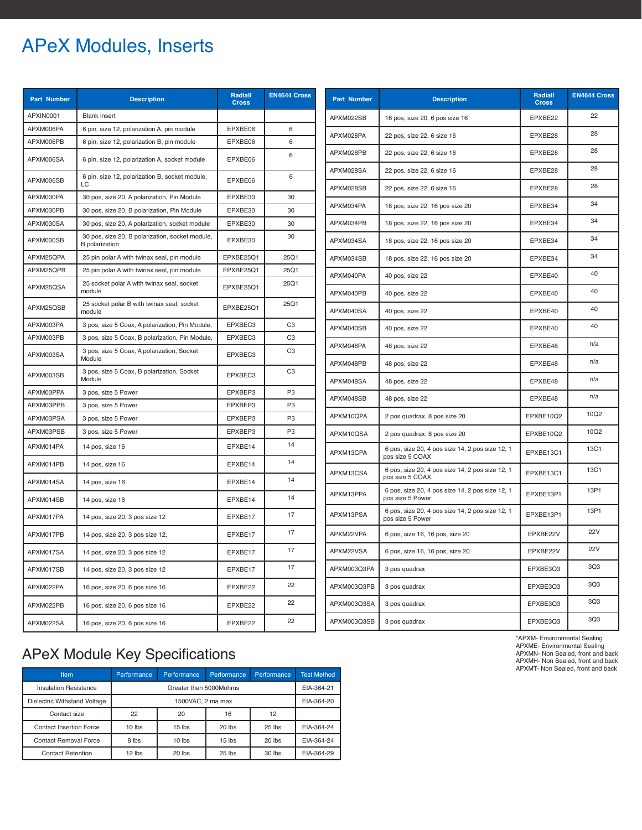# APeX Modules, Inserts

| <b>Part Number</b> | <b>Description</b>                                                       | <b>Radiall</b><br><b>Cross</b> | <b>EN4644 Cross</b> | <b>Part Number</b>     | <b>Description</b>                                                  | Radiall<br><b>Cross</b> | <b>EN4644 Cross</b> |
|--------------------|--------------------------------------------------------------------------|--------------------------------|---------------------|------------------------|---------------------------------------------------------------------|-------------------------|---------------------|
| APXIN0001          | <b>Blank</b> insert                                                      |                                |                     | APXM022SB              | 16 pos, size 20, 6 pos size 16                                      | EPXBE22                 | 22                  |
| APXM006PA          | 6 pin, size 12, polarization A, pin module                               | EPXBE06                        | 6                   | APXM028PA              | 22 pos, size 22, 6 size 16                                          | EPXBE28                 | 28                  |
| APXM006PB          | 6 pin, size 12, polarization B, pin module                               | EPXBE06                        | 6                   |                        |                                                                     |                         | 28                  |
| APXM006SA          | 6 pin, size 12, polarization A, socket module                            | EPXBE06                        | 6                   | APXM028PB              | 22 pos, size 22, 6 size 16                                          | EPXBE28                 | 28                  |
| APXM006SB          | 6 pin, size 12, polarization B, socket module,                           | EPXBE06                        | 6                   | APXM028SA              | 22 pos, size 22, 6 size 16                                          | EPXBE28                 | 28                  |
| APXM030PA          | 30 pos, size 20, A polarization, Pin Module                              | EPXBE30                        | 30                  | APXM028SB              | 22 pos, size 22, 6 size 16                                          | EPXBE28                 |                     |
| APXM030PB          | 30 pos, size 20, B polarization, Pin Module                              | EPXBE30                        | 30                  | APXM034PA              | 18 pos, size 22, 16 pos size 20                                     | EPXBE34                 | 34                  |
| APXM030SA          | 30 pos, size 20, A polarization, socket module                           | EPXBE30                        | 30                  | APXM034PB              | 18 pos, size 22, 16 pos size 20                                     | EPXBE34                 | 34                  |
| APXM030SB          | 30 pos, size 20, B polarization, socket module,<br><b>B</b> polarization | EPXBE30                        | 30                  | APXM034SA              | 18 pos, size 22, 16 pos size 20                                     | EPXBE34                 | 34                  |
| APXM25QPA          | 25 pin polar A with twinax seal, pin module                              | EPXBE25Q1                      | 25Q1                | APXM034SB              | 18 pos, size 22, 16 pos size 20                                     | EPXBE34                 | 34                  |
| APXM25QPB          | 25 pin polar A with twinax seal, pin module                              | EPXBE25Q1                      | 25Q1                | APXM040PA              | 40 pos, size 22                                                     | EPXBE40                 | 40                  |
| APXM25QSA          | 25 socket polar A with twinax seal, socket<br>module                     | EPXBE25Q1                      | 25Q1                | APXM040PB              | 40 pos, size 22                                                     | EPXBE40                 | 40                  |
| APXM25QSB          | 25 socket polar B with twinax seal, socket<br>module                     | EPXBE25Q1                      | 25Q1                | APXM040SA              | 40 pos, size 22                                                     | EPXBE40                 | 40                  |
| APXM003PA          | 3 pos, size 5 Coax, A polarization, Pin Module,                          | EPXBEC3                        | C <sub>3</sub>      | APXM040SB              | 40 pos, size 22                                                     | EPXBE40                 | 40                  |
| APXM003PB          | 3 pos, size 5 Coax, B polarization, Pin Module,                          | EPXBEC3                        | C <sub>3</sub>      |                        |                                                                     |                         | n/a                 |
| APXM003SA          | 3 pos, size 5 Coax, A polarization, Socket<br>Module                     | EPXBEC3                        | C <sub>3</sub>      | APXM048PA<br>APXM048PB | 48 pos, size 22                                                     | EPXBE48<br>EPXBE48      | n/a                 |
| APXM003SB          | 3 pos, size 5 Coax, B polarization, Socket<br>Module                     | EPXBEC3                        | C <sub>3</sub>      | APXM048SA              | 48 pos, size 22<br>48 pos, size 22                                  | EPXBE48                 | n/a                 |
| APXM03PPA          | 3 pos, size 5 Power                                                      | EPXBEP3                        | P <sub>3</sub>      |                        |                                                                     |                         | n/a                 |
| APXM03PPB          | 3 pos, size 5 Power                                                      | EPXBEP3                        | P <sub>3</sub>      |                        | APXM048SB<br>48 pos, size 22                                        |                         |                     |
| APXM03PSA          | 3 pos, size 5 Power                                                      | EPXBEP3                        | P <sub>3</sub>      | APXM10QPA              | 2 pos quadrax, 8 pos size 20                                        | EPXBE10Q2               | 10Q2                |
| APXM03PSB          | 3 pos, size 5 Power                                                      | EPXBEP3                        | P <sub>3</sub>      | APXM10QSA              | 2 pos quadrax, 8 pos size 20                                        | EPXBE10Q2               | 10Q2                |
| APXM014PA          | 14 pos, size 16                                                          | EPXBE14                        | 14                  | APXM13CPA              | 6 pos, size 20, 4 pos size 14, 2 pos size 12, 1<br>pos size 5 COAX  | EPXBE13C1               | 13C1                |
| APXM014PB          | 14 pos, size 16                                                          | EPXBE14                        | 14                  |                        | 6 pos, size 20, 4 pos size 14, 2 pos size 12, 1                     |                         | 13C1                |
| APXM014SA          | 14 pos, size 16                                                          | EPXBE14                        | 14                  | APXM13CSA              | pos size 5 COAX                                                     | EPXBE13C1               |                     |
| APXM014SB          | 14 pos, size 16                                                          | EPXBE14                        | 14                  | APXM13PPA              | 6 pos, size 20, 4 pos size 14, 2 pos size 12, 1<br>pos size 5 Power | EPXBE13P1               | 13P1                |
| APXM017PA          | 14 pos, size 20, 3 pos size 12                                           | EPXBE17                        | 17                  | APXM13PSA              | 6 pos, size 20, 4 pos size 14, 2 pos size 12, 1<br>pos size 5 Power | EPXBE13P1               | 13P1                |
| APXM017PB          | 14 pos, size 20, 3 pos size 12,                                          | EPXBE17                        | 17                  | APXM22VPA              | 6 pos, size 16, 16 pos, size 20                                     | EPXBE22V                | <b>22V</b>          |
| APXM017SA          | 14 pos, size 20, 3 pos size 12                                           | EPXBE17                        | 17                  | APXM22VSA              | 6 pos, size 16, 16 pos, size 20                                     | EPXBE22V                | <b>22V</b>          |
| APXM017SB          | 14 pos, size 20, 3 pos size 12                                           | EPXBE17                        | 17                  | APXM003Q3PA            | 3 pos quadrax                                                       | EPXBE3Q3                | 3Q <sub>3</sub>     |
| APXM022PA          | 16 pos, size 20, 6 pos size 16                                           | EPXBE22                        | 22                  | APXM003Q3PB            | 3 pos quadrax                                                       | EPXBE3Q3                | 3Q <sub>3</sub>     |
| APXM022PB          | 16 pos, size 20, 6 pos size 16                                           | EPXBE22                        | 22                  | APXM003Q3SA            | 3 pos quadrax                                                       | EPXBE3Q3                | 3Q3                 |
| APXM022SA          | 16 pos, size 20, 6 pos size 16                                           | EPXBE22                        | 22                  | APXM003Q3SB            | 3 pos quadrax                                                       | EPXBE3Q3                | 3Q <sub>3</sub>     |

## APeX Module Key Specifications

| Item                           | Performance            | Performance       | Performance | Performance | <b>Test Method</b> |
|--------------------------------|------------------------|-------------------|-------------|-------------|--------------------|
| <b>Insulation Resistance</b>   | Greater than 5000Mohms |                   |             |             | EIA-364-21         |
| Dielectric Withstand Voltage   |                        | 1500VAC, 2 ma max |             |             | EIA-364-20         |
| Contact size                   | 22                     | 20                | 16          | 12          |                    |
| <b>Contact Insertion Force</b> | $10$ lbs               | $15$ lbs          | $20$ lbs    | $25$ lbs    | EIA-364-24         |
| <b>Contact Removal Force</b>   | 8 lbs                  | $10$ lbs          | $15$ lbs    | $20$ lbs    | EIA-364-24         |
| <b>Contact Retention</b>       | 12 lbs                 | 20 lbs            | $25$ lbs    | 30 lbs      | EIA-364-29         |

\*APXM- Environmental Sealing APXME- Environmental Sealing APXMN- Non Sealed, front and back APXMH- Non Sealed, front and back APXMT- Non Sealed, front and back